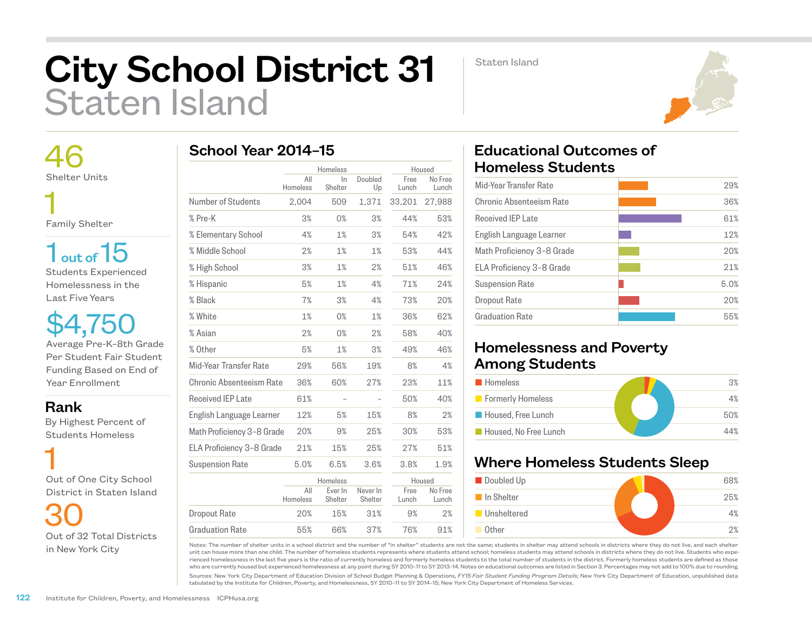# City School District 31 Staten Island

Staten Island



 46 Shelter Units 1

Family Shelter

 $1<sub>out of</sub> 15$ Students Experienced Homelessness in the Last Five Years

\$4,750 Average Pre-K–8th Grade Per Student Fair Student Funding Based on End of Year Enrollment

#### Rank

 By Highest Percent of Students Homeless

 1 Out of One City School District in Staten Island

 30 Out of 32 Total Districts in New York City

|  |  | School Year 2014-15 |  |
|--|--|---------------------|--|
|--|--|---------------------|--|

|                            |                 | Homeless           |                     |               | Housed           |
|----------------------------|-----------------|--------------------|---------------------|---------------|------------------|
|                            | All<br>Homeless | In.<br>Shelter     | Doubled<br>Up       | Free<br>Lunch | No Free<br>Lunch |
| Number of Students         | 2,004           | 509                | 1,371               | 33,201        | 27,988           |
| % Pre-K                    | 3%              | 0%                 | 3%                  | 44%           | 53%              |
| % Elementary School        | 4%              | 1%                 | 3%                  | 54%           | 42%              |
| % Middle School            | 2%              | 1%                 | 1%                  | 53%           | 44%              |
| % High School              | 3%              | 1%                 | 2%                  | 51%           | 46%              |
| % Hispanic                 | 5%              | 1%                 | 4%                  | 71%           | 24%              |
| % Black                    | 7%              | 3%                 | 4%                  | 73%           | 20%              |
| % White                    | 1%              | 0%                 | 1%                  | 36%           | 62%              |
| % Asian                    | 2%              | 0%                 | 2%                  | 58%           | 40%              |
| % Other                    | 5%              | 1%                 | 3%                  | 49%           | 46%              |
| Mid-Year Transfer Rate     | 29%             | 56%                | 19%                 | 8%            | 4%               |
| Chronic Absenteeism Rate   | 36%             | 60%                | 27%                 | 23%           | 11%              |
| <b>Received IEP Late</b>   | 61%             |                    |                     | 50%           | 40%              |
| English Language Learner   | 12%             | 5%                 | 15%                 | 8%            | 2%               |
| Math Proficiency 3-8 Grade | 20%             | 9%                 | 25%                 | 30%           | 53%              |
| ELA Proficiency 3-8 Grade  | 21%             | 15%                | 25%                 | 27%           | 51%              |
| <b>Suspension Rate</b>     | 5.0%            | 6.5%               | 3.6%                | 3.8%          | 1.9%             |
|                            |                 | Homeless           |                     | Housed        |                  |
|                            | All<br>Homeless | Ever In<br>Shelter | Never In<br>Shelter | Free<br>Lunch | No Free<br>Lunch |
| <b>Dropout Rate</b>        | 20%             | 15%                | 31%                 | 9%            | 2%               |
| <b>Graduation Rate</b>     | 55%             | 66%                | 37%                 | 76%           | 91%              |

# Educational Outcomes of Homeless Students

| Mid-Year Transfer Rate     | 29%  |
|----------------------------|------|
| Chronic Absenteeism Rate   | 36%  |
| Received IFP Late          | 61%  |
| English Language Learner   | 12%  |
| Math Proficiency 3-8 Grade | 20%  |
| ELA Proficiency 3-8 Grade  | 21%  |
| <b>Suspension Rate</b>     | 5.0% |
| Dropout Rate               | 20%  |
| <b>Graduation Rate</b>     | 55%  |
|                            |      |

## Homelessness and Poverty Among Students

| <b>Homeless</b>       | 3%  |
|-----------------------|-----|
| Formerly Homeless     | 4%  |
| Housed, Free Lunch    | 50% |
| Housed. No Free Lunch | 44% |

## Where Homeless Students Sleep



Notes: The number of shelter units in a school district and the number of "in shelter" students are not the same; students in shelter may attend schools in districts where they do not live, and each shelter unit can house more than one child. The number of homeless students represents where students attend school; homeless students may attend schools in districts where they do not live. Students who experienced homelessness in the last five years is the ratio of currently homeless and formerly homeless students to the total number of students in the district. Formerly homeless students are defined as those who are currently housed but experienced homelessness at any point during SY 2010–11 to SY 2013–14. Notes on educational outcomes are listed in Section 3. Percentages may not add to 100% due to rounding.

Sources: New York City Department of Education Division of School Budget Planning & Operations, *FY15 Fair Student Funding Program Details*; New York City Department of Education, unpublished data tabulated by the Institute for Children, Poverty, and Homelessness, SY 2010–11 to SY 2014–15; New York City Department of Homeless Services.